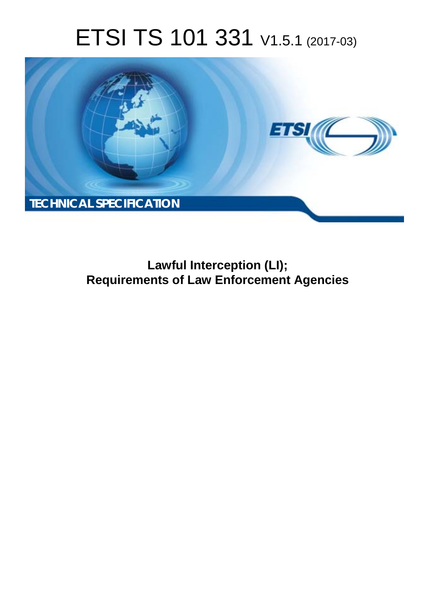# ETSI TS 101 331 V1.5.1 (2017-03)



**Lawful Interception (LI); Requirements of Law Enforcement Agencies**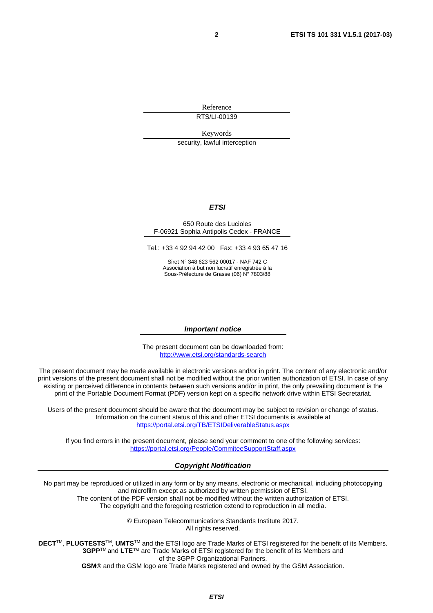Reference

RTS/LI-00139

Keywords

security, lawful interception

#### *ETSI*

#### 650 Route des Lucioles F-06921 Sophia Antipolis Cedex - FRANCE

Tel.: +33 4 92 94 42 00 Fax: +33 4 93 65 47 16

Siret N° 348 623 562 00017 - NAF 742 C Association à but non lucratif enregistrée à la Sous-Préfecture de Grasse (06) N° 7803/88

#### *Important notice*

The present document can be downloaded from: <http://www.etsi.org/standards-search>

The present document may be made available in electronic versions and/or in print. The content of any electronic and/or print versions of the present document shall not be modified without the prior written authorization of ETSI. In case of any existing or perceived difference in contents between such versions and/or in print, the only prevailing document is the print of the Portable Document Format (PDF) version kept on a specific network drive within ETSI Secretariat.

Users of the present document should be aware that the document may be subject to revision or change of status. Information on the current status of this and other ETSI documents is available at <https://portal.etsi.org/TB/ETSIDeliverableStatus.aspx>

If you find errors in the present document, please send your comment to one of the following services: <https://portal.etsi.org/People/CommiteeSupportStaff.aspx>

#### *Copyright Notification*

No part may be reproduced or utilized in any form or by any means, electronic or mechanical, including photocopying and microfilm except as authorized by written permission of ETSI.

The content of the PDF version shall not be modified without the written authorization of ETSI. The copyright and the foregoing restriction extend to reproduction in all media.

> © European Telecommunications Standards Institute 2017. All rights reserved.

**DECT**TM, **PLUGTESTS**TM, **UMTS**TM and the ETSI logo are Trade Marks of ETSI registered for the benefit of its Members. **3GPP**TM and **LTE**™ are Trade Marks of ETSI registered for the benefit of its Members and of the 3GPP Organizational Partners.

**GSM**® and the GSM logo are Trade Marks registered and owned by the GSM Association.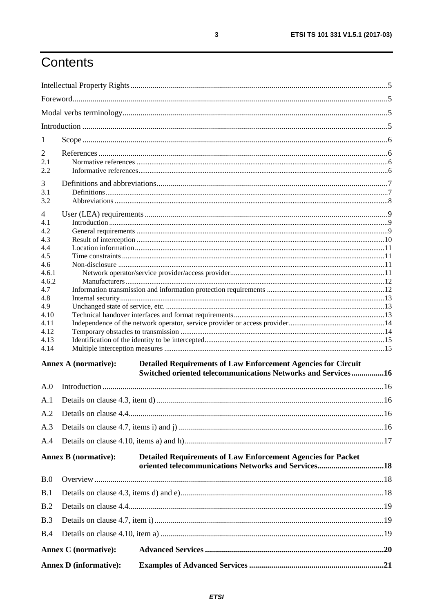# Contents

|                | <b>Annex D</b> (informative):                                                                       |  |  |  |
|----------------|-----------------------------------------------------------------------------------------------------|--|--|--|
|                | <b>Annex C</b> (normative):                                                                         |  |  |  |
| B.4            |                                                                                                     |  |  |  |
| B.3            |                                                                                                     |  |  |  |
| B.2            |                                                                                                     |  |  |  |
| B.1            |                                                                                                     |  |  |  |
| B.0            |                                                                                                     |  |  |  |
|                | <b>Annex B</b> (normative):<br><b>Detailed Requirements of Law Enforcement Agencies for Packet</b>  |  |  |  |
| A.4            |                                                                                                     |  |  |  |
| A.3            |                                                                                                     |  |  |  |
| A.2            |                                                                                                     |  |  |  |
| A.1            |                                                                                                     |  |  |  |
| A.0            |                                                                                                     |  |  |  |
|                | Switched oriented telecommunications Networks and Services16                                        |  |  |  |
|                | <b>Annex A (normative):</b><br><b>Detailed Requirements of Law Enforcement Agencies for Circuit</b> |  |  |  |
| 4.14           |                                                                                                     |  |  |  |
| 4.12<br>4.13   |                                                                                                     |  |  |  |
| 4.10<br>4.11   |                                                                                                     |  |  |  |
| 4.9            |                                                                                                     |  |  |  |
| 4.7<br>4.8     |                                                                                                     |  |  |  |
| 4.6.2          |                                                                                                     |  |  |  |
| 4.6<br>4.6.1   |                                                                                                     |  |  |  |
| 4.5            |                                                                                                     |  |  |  |
| 4.3<br>4.4     |                                                                                                     |  |  |  |
| 4.1<br>4.2     |                                                                                                     |  |  |  |
| $\overline{4}$ |                                                                                                     |  |  |  |
| 3.1<br>3.2     |                                                                                                     |  |  |  |
| 3              |                                                                                                     |  |  |  |
| 2.1<br>2.2     |                                                                                                     |  |  |  |
| 2              |                                                                                                     |  |  |  |
| $\mathbf{I}$   |                                                                                                     |  |  |  |
|                |                                                                                                     |  |  |  |
|                |                                                                                                     |  |  |  |
|                |                                                                                                     |  |  |  |
|                |                                                                                                     |  |  |  |

 $\mathbf{3}$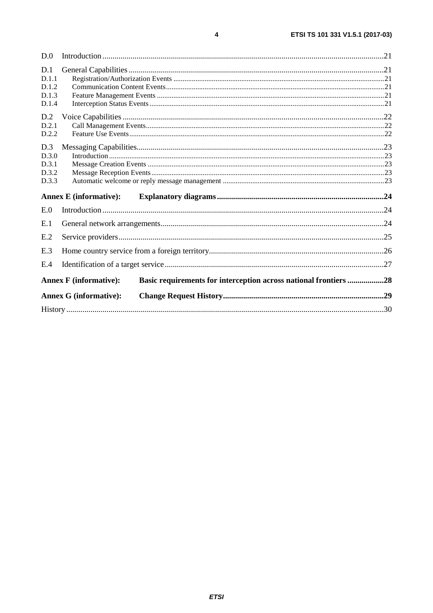| D.0                                     |                                                                                                   |  |  |  |  |
|-----------------------------------------|---------------------------------------------------------------------------------------------------|--|--|--|--|
| D.1<br>D.1.1<br>D.1.2<br>D.1.3<br>D.1.4 |                                                                                                   |  |  |  |  |
| D.2<br>D.2.1<br>D.2.2                   |                                                                                                   |  |  |  |  |
| D.3<br>D.3.0<br>D.3.1<br>D.3.2<br>D.3.3 |                                                                                                   |  |  |  |  |
|                                         | <b>Annex E</b> (informative):                                                                     |  |  |  |  |
| E.0                                     |                                                                                                   |  |  |  |  |
| E.1                                     |                                                                                                   |  |  |  |  |
| E.2                                     |                                                                                                   |  |  |  |  |
| E.3                                     |                                                                                                   |  |  |  |  |
| E.4                                     |                                                                                                   |  |  |  |  |
|                                         | Basic requirements for interception across national frontiers 28<br><b>Annex F</b> (informative): |  |  |  |  |
|                                         | <b>Annex G (informative):</b>                                                                     |  |  |  |  |
|                                         |                                                                                                   |  |  |  |  |
|                                         |                                                                                                   |  |  |  |  |

 $\overline{\mathbf{4}}$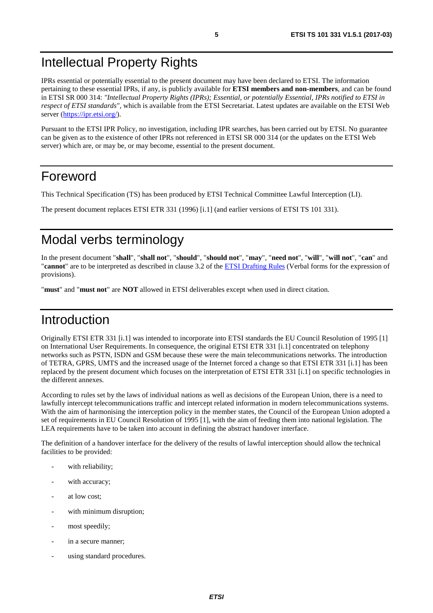#### <span id="page-4-0"></span>Intellectual Property Rights

IPRs essential or potentially essential to the present document may have been declared to ETSI. The information pertaining to these essential IPRs, if any, is publicly available for **ETSI members and non-members**, and can be found in ETSI SR 000 314: *"Intellectual Property Rights (IPRs); Essential, or potentially Essential, IPRs notified to ETSI in respect of ETSI standards"*, which is available from the ETSI Secretariat. Latest updates are available on the ETSI Web server ([https://ipr.etsi.org/\)](https://ipr.etsi.org/).

Pursuant to the ETSI IPR Policy, no investigation, including IPR searches, has been carried out by ETSI. No guarantee can be given as to the existence of other IPRs not referenced in ETSI SR 000 314 (or the updates on the ETSI Web server) which are, or may be, or may become, essential to the present document.

#### Foreword

This Technical Specification (TS) has been produced by ETSI Technical Committee Lawful Interception (LI).

The present document replaces ETSI ETR 331 (1996) [\[i.1](#page-5-0)] (and earlier versions of ETSI TS 101 331).

### Modal verbs terminology

In the present document "**shall**", "**shall not**", "**should**", "**should not**", "**may**", "**need not**", "**will**", "**will not**", "**can**" and "**cannot**" are to be interpreted as described in clause 3.2 of the [ETSI Drafting Rules](https://portal.etsi.org/Services/editHelp!/Howtostart/ETSIDraftingRules.aspx) (Verbal forms for the expression of provisions).

"**must**" and "**must not**" are **NOT** allowed in ETSI deliverables except when used in direct citation.

#### Introduction

Originally ETSI ETR 331 [\[i.1\]](#page-5-0) was intended to incorporate into ETSI standards the EU Council Resolution of 1995 [[1\]](#page-5-0) on International User Requirements. In consequence, the original ETSI ETR 331 [[i.1](#page-5-0)] concentrated on telephony networks such as PSTN, ISDN and GSM because these were the main telecommunications networks. The introduction of TETRA, GPRS, UMTS and the increased usage of the Internet forced a change so that ETSI ETR 331 [[i.1](#page-5-0)] has been replaced by the present document which focuses on the interpretation of ETSI ETR 331 [\[i.1](#page-5-0)] on specific technologies in the different annexes.

According to rules set by the laws of individual nations as well as decisions of the European Union, there is a need to lawfully intercept telecommunications traffic and intercept related information in modern telecommunications systems. With the aim of harmonising the interception policy in the member states, the Council of the European Union adopted a set of requirements in EU Council Resolution of 1995 [[1\]](#page-5-0), with the aim of feeding them into national legislation. The LEA requirements have to be taken into account in defining the abstract handover interface.

The definition of a handover interface for the delivery of the results of lawful interception should allow the technical facilities to be provided:

- with reliability;
- with accuracy;
- at low cost;
- with minimum disruption;
- most speedily;
- in a secure manner;
- using standard procedures.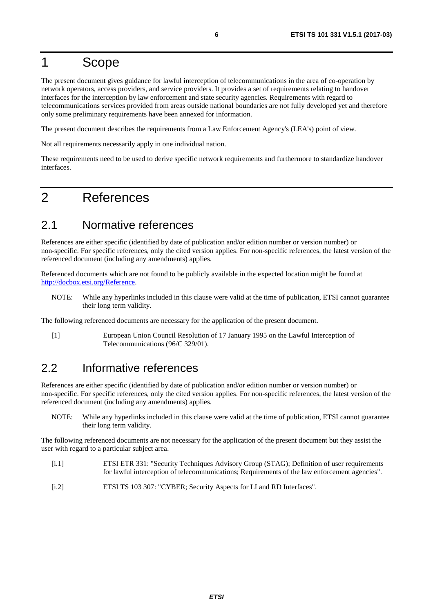#### <span id="page-5-0"></span>1 Scope

The present document gives guidance for lawful interception of telecommunications in the area of co-operation by network operators, access providers, and service providers. It provides a set of requirements relating to handover interfaces for the interception by law enforcement and state security agencies. Requirements with regard to telecommunications services provided from areas outside national boundaries are not fully developed yet and therefore only some preliminary requirements have been annexed for information.

The present document describes the requirements from a Law Enforcement Agency's (LEA's) point of view.

Not all requirements necessarily apply in one individual nation.

These requirements need to be used to derive specific network requirements and furthermore to standardize handover interfaces.

#### 2 References

#### 2.1 Normative references

References are either specific (identified by date of publication and/or edition number or version number) or non-specific. For specific references, only the cited version applies. For non-specific references, the latest version of the referenced document (including any amendments) applies.

Referenced documents which are not found to be publicly available in the expected location might be found at [http://docbox.etsi.org/Reference.](http://docbox.etsi.org/Reference)

NOTE: While any hyperlinks included in this clause were valid at the time of publication, ETSI cannot guarantee their long term validity.

The following referenced documents are necessary for the application of the present document.

[1] European Union Council Resolution of 17 January 1995 on the Lawful Interception of Telecommunications (96/C 329/01).

#### 2.2 Informative references

References are either specific (identified by date of publication and/or edition number or version number) or non-specific. For specific references, only the cited version applies. For non-specific references, the latest version of the referenced document (including any amendments) applies.

NOTE: While any hyperlinks included in this clause were valid at the time of publication, ETSI cannot guarantee their long term validity.

The following referenced documents are not necessary for the application of the present document but they assist the user with regard to a particular subject area.

- [i.1] ETSI ETR 331: "Security Techniques Advisory Group (STAG); Definition of user requirements for lawful interception of telecommunications; Requirements of the law enforcement agencies".
- [i.2] ETSI TS 103 307: "CYBER; Security Aspects for LI and RD Interfaces".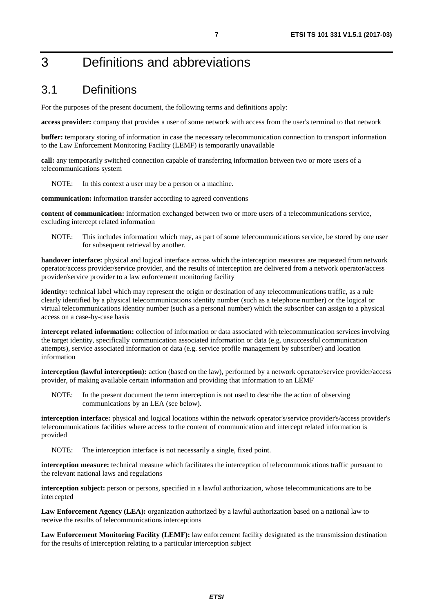### <span id="page-6-0"></span>3 Definitions and abbreviations

#### 3.1 Definitions

For the purposes of the present document, the following terms and definitions apply:

**access provider:** company that provides a user of some network with access from the user's terminal to that network

**buffer:** temporary storing of information in case the necessary telecommunication connection to transport information to the Law Enforcement Monitoring Facility (LEMF) is temporarily unavailable

**call:** any temporarily switched connection capable of transferring information between two or more users of a telecommunications system

NOTE: In this context a user may be a person or a machine.

**communication:** information transfer according to agreed conventions

**content of communication:** information exchanged between two or more users of a telecommunications service, excluding intercept related information

NOTE: This includes information which may, as part of some telecommunications service, be stored by one user for subsequent retrieval by another.

**handover interface:** physical and logical interface across which the interception measures are requested from network operator/access provider/service provider, and the results of interception are delivered from a network operator/access provider/service provider to a law enforcement monitoring facility

**identity:** technical label which may represent the origin or destination of any telecommunications traffic, as a rule clearly identified by a physical telecommunications identity number (such as a telephone number) or the logical or virtual telecommunications identity number (such as a personal number) which the subscriber can assign to a physical access on a case-by-case basis

**intercept related information:** collection of information or data associated with telecommunication services involving the target identity, specifically communication associated information or data (e.g. unsuccessful communication attempts), service associated information or data (e.g. service profile management by subscriber) and location information

**interception (lawful interception):** action (based on the law), performed by a network operator/service provider/access provider, of making available certain information and providing that information to an LEMF

NOTE: In the present document the term interception is not used to describe the action of observing communications by an LEA (see below).

**interception interface:** physical and logical locations within the network operator's/service provider's/access provider's telecommunications facilities where access to the content of communication and intercept related information is provided

NOTE: The interception interface is not necessarily a single, fixed point.

**interception measure:** technical measure which facilitates the interception of telecommunications traffic pursuant to the relevant national laws and regulations

**interception subject:** person or persons, specified in a lawful authorization, whose telecommunications are to be intercepted

**Law Enforcement Agency (LEA):** organization authorized by a lawful authorization based on a national law to receive the results of telecommunications interceptions

**Law Enforcement Monitoring Facility (LEMF):** law enforcement facility designated as the transmission destination for the results of interception relating to a particular interception subject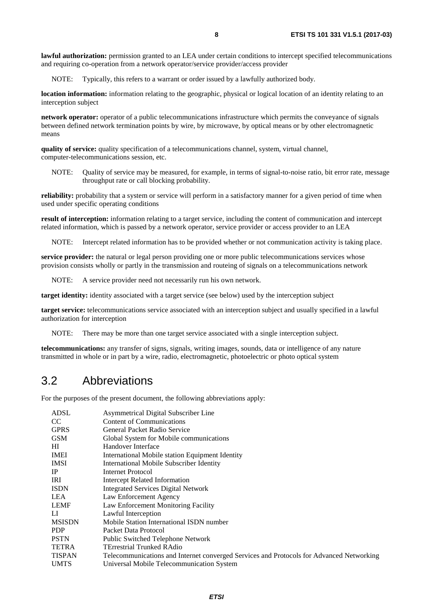<span id="page-7-0"></span>**lawful authorization:** permission granted to an LEA under certain conditions to intercept specified telecommunications and requiring co-operation from a network operator/service provider/access provider

NOTE: Typically, this refers to a warrant or order issued by a lawfully authorized body.

**location information:** information relating to the geographic, physical or logical location of an identity relating to an interception subject

**network operator:** operator of a public telecommunications infrastructure which permits the conveyance of signals between defined network termination points by wire, by microwave, by optical means or by other electromagnetic means

**quality of service:** quality specification of a telecommunications channel, system, virtual channel, computer-telecommunications session, etc.

NOTE: Quality of service may be measured, for example, in terms of signal-to-noise ratio, bit error rate, message throughput rate or call blocking probability.

**reliability:** probability that a system or service will perform in a satisfactory manner for a given period of time when used under specific operating conditions

**result of interception:** information relating to a target service, including the content of communication and intercept related information, which is passed by a network operator, service provider or access provider to an LEA

NOTE: Intercept related information has to be provided whether or not communication activity is taking place.

**service provider:** the natural or legal person providing one or more public telecommunications services whose provision consists wholly or partly in the transmission and routeing of signals on a telecommunications network

NOTE: A service provider need not necessarily run his own network.

**target identity:** identity associated with a target service (see below) used by the interception subject

**target service:** telecommunications service associated with an interception subject and usually specified in a lawful authorization for interception

NOTE: There may be more than one target service associated with a single interception subject.

**telecommunications:** any transfer of signs, signals, writing images, sounds, data or intelligence of any nature transmitted in whole or in part by a wire, radio, electromagnetic, photoelectric or photo optical system

#### 3.2 Abbreviations

For the purposes of the present document, the following abbreviations apply:

| ADSL          | Asymmetrical Digital Subscriber Line                                                     |
|---------------|------------------------------------------------------------------------------------------|
| CC            | <b>Content of Communications</b>                                                         |
| <b>GPRS</b>   | General Packet Radio Service                                                             |
| GSM           | Global System for Mobile communications                                                  |
| HІ            | Handover Interface                                                                       |
| IMEI          | International Mobile station Equipment Identity                                          |
| IMSI          | International Mobile Subscriber Identity                                                 |
| IP            | <b>Internet Protocol</b>                                                                 |
| IRI           | Intercept Related Information                                                            |
| <b>ISDN</b>   | Integrated Services Digital Network                                                      |
| LEA           | Law Enforcement Agency                                                                   |
| LEMF          | Law Enforcement Monitoring Facility                                                      |
| LI            | Lawful Interception                                                                      |
| <b>MSISDN</b> | Mobile Station International ISDN number                                                 |
| <b>PDP</b>    | Packet Data Protocol                                                                     |
| <b>PSTN</b>   | Public Switched Telephone Network                                                        |
| TETRA         | <b>TErrestrial Trunked RAdio</b>                                                         |
| TISPAN        | Telecommunications and Internet converged Services and Protocols for Advanced Networking |
| <b>UMTS</b>   | Universal Mobile Telecommunication System                                                |
|               |                                                                                          |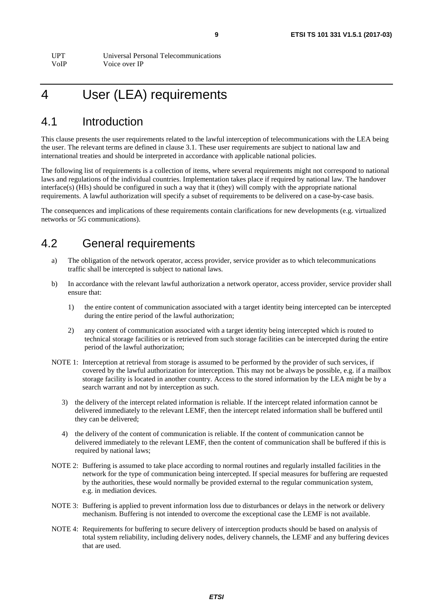### <span id="page-8-0"></span>4 User (LEA) requirements

#### 4.1 Introduction

This clause presents the user requirements related to the lawful interception of telecommunications with the LEA being the user. The relevant terms are defined in clause 3.1. These user requirements are subject to national law and international treaties and should be interpreted in accordance with applicable national policies.

The following list of requirements is a collection of items, where several requirements might not correspond to national laws and regulations of the individual countries. Implementation takes place if required by national law. The handover interface(s) (HIs) should be configured in such a way that it (they) will comply with the appropriate national requirements. A lawful authorization will specify a subset of requirements to be delivered on a case-by-case basis.

The consequences and implications of these requirements contain clarifications for new developments (e.g. virtualized networks or 5G communications).

#### 4.2 General requirements

- a) The obligation of the network operator, access provider, service provider as to which telecommunications traffic shall be intercepted is subject to national laws.
- b) In accordance with the relevant lawful authorization a network operator, access provider, service provider shall ensure that:
	- 1) the entire content of communication associated with a target identity being intercepted can be intercepted during the entire period of the lawful authorization;
	- 2) any content of communication associated with a target identity being intercepted which is routed to technical storage facilities or is retrieved from such storage facilities can be intercepted during the entire period of the lawful authorization;
- NOTE 1: Interception at retrieval from storage is assumed to be performed by the provider of such services, if covered by the lawful authorization for interception. This may not be always be possible, e.g. if a mailbox storage facility is located in another country. Access to the stored information by the LEA might be by a search warrant and not by interception as such.
	- 3) the delivery of the intercept related information is reliable. If the intercept related information cannot be delivered immediately to the relevant LEMF, then the intercept related information shall be buffered until they can be delivered;
	- 4) the delivery of the content of communication is reliable. If the content of communication cannot be delivered immediately to the relevant LEMF, then the content of communication shall be buffered if this is required by national laws;
- NOTE 2: Buffering is assumed to take place according to normal routines and regularly installed facilities in the network for the type of communication being intercepted. If special measures for buffering are requested by the authorities, these would normally be provided external to the regular communication system, e.g. in mediation devices.
- NOTE 3: Buffering is applied to prevent information loss due to disturbances or delays in the network or delivery mechanism. Buffering is not intended to overcome the exceptional case the LEMF is not available.
- NOTE 4: Requirements for buffering to secure delivery of interception products should be based on analysis of total system reliability, including delivery nodes, delivery channels, the LEMF and any buffering devices that are used.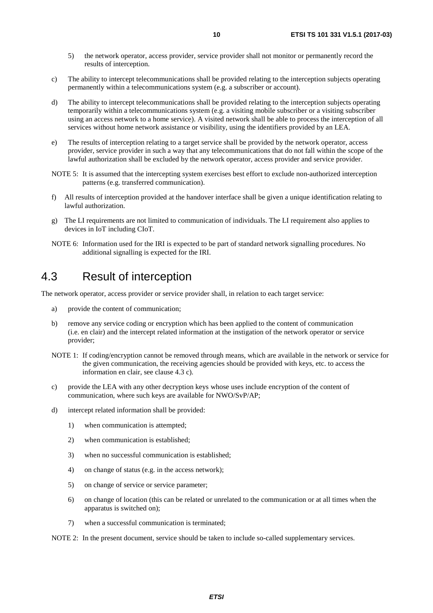- <span id="page-9-0"></span>5) the network operator, access provider, service provider shall not monitor or permanently record the results of interception.
- c) The ability to intercept telecommunications shall be provided relating to the interception subjects operating permanently within a telecommunications system (e.g. a subscriber or account).
- d) The ability to intercept telecommunications shall be provided relating to the interception subjects operating temporarily within a telecommunications system (e.g. a visiting mobile subscriber or a visiting subscriber using an access network to a home service). A visited network shall be able to process the interception of all services without home network assistance or visibility, using the identifiers provided by an LEA.
- e) The results of interception relating to a target service shall be provided by the network operator, access provider, service provider in such a way that any telecommunications that do not fall within the scope of the lawful authorization shall be excluded by the network operator, access provider and service provider.
- NOTE 5: It is assumed that the intercepting system exercises best effort to exclude non-authorized interception patterns (e.g. transferred communication).
- f) All results of interception provided at the handover interface shall be given a unique identification relating to lawful authorization.
- g) The LI requirements are not limited to communication of individuals. The LI requirement also applies to devices in IoT including CIoT.
- NOTE 6: Information used for the IRI is expected to be part of standard network signalling procedures. No additional signalling is expected for the IRI.

#### 4.3 Result of interception

The network operator, access provider or service provider shall, in relation to each target service:

- a) provide the content of communication;
- b) remove any service coding or encryption which has been applied to the content of communication (i.e. en clair) and the intercept related information at the instigation of the network operator or service provider;
- NOTE 1: If coding/encryption cannot be removed through means, which are available in the network or service for the given communication, the receiving agencies should be provided with keys, etc. to access the information en clair, see clause 4.3 c).
- c) provide the LEA with any other decryption keys whose uses include encryption of the content of communication, where such keys are available for NWO/SvP/AP;
- d) intercept related information shall be provided:
	- 1) when communication is attempted;
	- 2) when communication is established;
	- 3) when no successful communication is established;
	- 4) on change of status (e.g. in the access network);
	- 5) on change of service or service parameter;
	- 6) on change of location (this can be related or unrelated to the communication or at all times when the apparatus is switched on);
	- 7) when a successful communication is terminated;

NOTE 2: In the present document, service should be taken to include so-called supplementary services.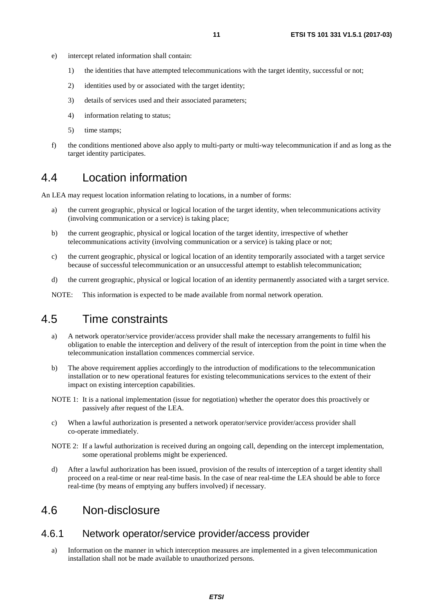- <span id="page-10-0"></span>e) intercept related information shall contain:
	- 1) the identities that have attempted telecommunications with the target identity, successful or not;
	- 2) identities used by or associated with the target identity;
	- 3) details of services used and their associated parameters;
	- 4) information relating to status;
	- 5) time stamps;
- f) the conditions mentioned above also apply to multi-party or multi-way telecommunication if and as long as the target identity participates.

#### 4.4 Location information

An LEA may request location information relating to locations, in a number of forms:

- a) the current geographic, physical or logical location of the target identity, when telecommunications activity (involving communication or a service) is taking place;
- b) the current geographic, physical or logical location of the target identity, irrespective of whether telecommunications activity (involving communication or a service) is taking place or not;
- c) the current geographic, physical or logical location of an identity temporarily associated with a target service because of successful telecommunication or an unsuccessful attempt to establish telecommunication;
- d) the current geographic, physical or logical location of an identity permanently associated with a target service.

NOTE: This information is expected to be made available from normal network operation.

#### 4.5 Time constraints

- a) A network operator/service provider/access provider shall make the necessary arrangements to fulfil his obligation to enable the interception and delivery of the result of interception from the point in time when the telecommunication installation commences commercial service.
- b) The above requirement applies accordingly to the introduction of modifications to the telecommunication installation or to new operational features for existing telecommunications services to the extent of their impact on existing interception capabilities.
- NOTE 1: It is a national implementation (issue for negotiation) whether the operator does this proactively or passively after request of the LEA.
- c) When a lawful authorization is presented a network operator/service provider/access provider shall co-operate immediately.
- NOTE 2: If a lawful authorization is received during an ongoing call, depending on the intercept implementation, some operational problems might be experienced.
- d) After a lawful authorization has been issued, provision of the results of interception of a target identity shall proceed on a real-time or near real-time basis. In the case of near real-time the LEA should be able to force real-time (by means of emptying any buffers involved) if necessary.

#### 4.6 Non-disclosure

#### 4.6.1 Network operator/service provider/access provider

a) Information on the manner in which interception measures are implemented in a given telecommunication installation shall not be made available to unauthorized persons.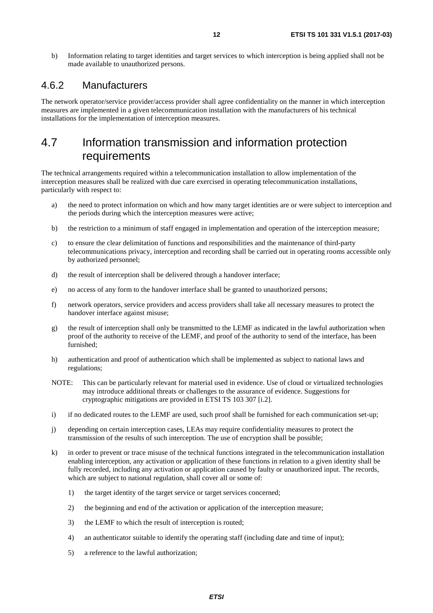<span id="page-11-0"></span>b) Information relating to target identities and target services to which interception is being applied shall not be made available to unauthorized persons.

#### 4.6.2 Manufacturers

The network operator/service provider/access provider shall agree confidentiality on the manner in which interception measures are implemented in a given telecommunication installation with the manufacturers of his technical installations for the implementation of interception measures.

#### 4.7 Information transmission and information protection requirements

The technical arrangements required within a telecommunication installation to allow implementation of the interception measures shall be realized with due care exercised in operating telecommunication installations, particularly with respect to:

- a) the need to protect information on which and how many target identities are or were subject to interception and the periods during which the interception measures were active;
- b) the restriction to a minimum of staff engaged in implementation and operation of the interception measure;
- c) to ensure the clear delimitation of functions and responsibilities and the maintenance of third-party telecommunications privacy, interception and recording shall be carried out in operating rooms accessible only by authorized personnel;
- d) the result of interception shall be delivered through a handover interface;
- e) no access of any form to the handover interface shall be granted to unauthorized persons;
- f) network operators, service providers and access providers shall take all necessary measures to protect the handover interface against misuse;
- g) the result of interception shall only be transmitted to the LEMF as indicated in the lawful authorization when proof of the authority to receive of the LEMF, and proof of the authority to send of the interface, has been furnished;
- h) authentication and proof of authentication which shall be implemented as subject to national laws and regulations;
- NOTE: This can be particularly relevant for material used in evidence. Use of cloud or virtualized technologies may introduce additional threats or challenges to the assurance of evidence. Suggestions for cryptographic mitigations are provided in ETSI TS 103 307 [\[i.2\]](#page-5-0).
- i) if no dedicated routes to the LEMF are used, such proof shall be furnished for each communication set-up;
- j) depending on certain interception cases, LEAs may require confidentiality measures to protect the transmission of the results of such interception. The use of encryption shall be possible;
- k) in order to prevent or trace misuse of the technical functions integrated in the telecommunication installation enabling interception, any activation or application of these functions in relation to a given identity shall be fully recorded, including any activation or application caused by faulty or unauthorized input. The records, which are subject to national regulation, shall cover all or some of:
	- 1) the target identity of the target service or target services concerned;
	- 2) the beginning and end of the activation or application of the interception measure;
	- 3) the LEMF to which the result of interception is routed;
	- 4) an authenticator suitable to identify the operating staff (including date and time of input);
	- 5) a reference to the lawful authorization;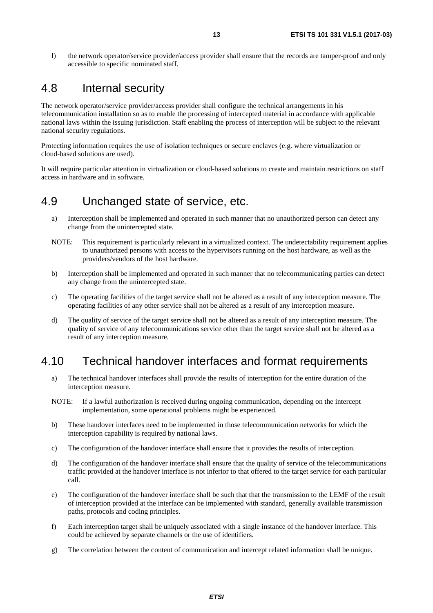<span id="page-12-0"></span>l) the network operator/service provider/access provider shall ensure that the records are tamper-proof and only accessible to specific nominated staff.

#### 4.8 Internal security

The network operator/service provider/access provider shall configure the technical arrangements in his telecommunication installation so as to enable the processing of intercepted material in accordance with applicable national laws within the issuing jurisdiction. Staff enabling the process of interception will be subject to the relevant national security regulations.

Protecting information requires the use of isolation techniques or secure enclaves (e.g. where virtualization or cloud-based solutions are used).

It will require particular attention in virtualization or cloud-based solutions to create and maintain restrictions on staff access in hardware and in software.

#### 4.9 Unchanged state of service, etc.

- a) Interception shall be implemented and operated in such manner that no unauthorized person can detect any change from the unintercepted state.
- NOTE: This requirement is particularly relevant in a virtualized context. The undetectability requirement applies to unauthorized persons with access to the hypervisors running on the host hardware, as well as the providers/vendors of the host hardware.
- b) Interception shall be implemented and operated in such manner that no telecommunicating parties can detect any change from the unintercepted state.
- c) The operating facilities of the target service shall not be altered as a result of any interception measure. The operating facilities of any other service shall not be altered as a result of any interception measure.
- d) The quality of service of the target service shall not be altered as a result of any interception measure. The quality of service of any telecommunications service other than the target service shall not be altered as a result of any interception measure.

#### 4.10 Technical handover interfaces and format requirements

- a) The technical handover interfaces shall provide the results of interception for the entire duration of the interception measure.
- NOTE: If a lawful authorization is received during ongoing communication, depending on the intercept implementation, some operational problems might be experienced.
- b) These handover interfaces need to be implemented in those telecommunication networks for which the interception capability is required by national laws.
- c) The configuration of the handover interface shall ensure that it provides the results of interception.
- d) The configuration of the handover interface shall ensure that the quality of service of the telecommunications traffic provided at the handover interface is not inferior to that offered to the target service for each particular call.
- e) The configuration of the handover interface shall be such that that the transmission to the LEMF of the result of interception provided at the interface can be implemented with standard, generally available transmission paths, protocols and coding principles.
- f) Each interception target shall be uniquely associated with a single instance of the handover interface. This could be achieved by separate channels or the use of identifiers.
- g) The correlation between the content of communication and intercept related information shall be unique.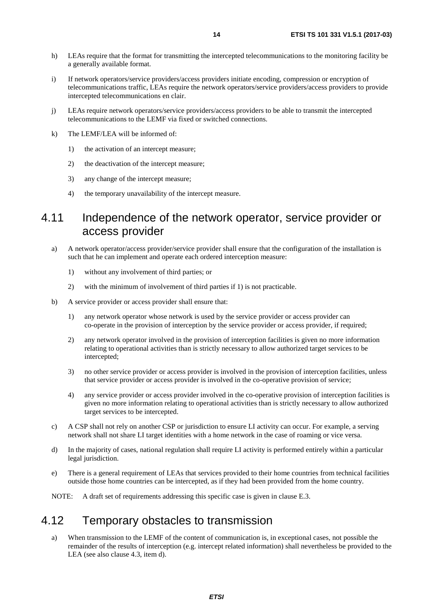- <span id="page-13-0"></span>h) LEAs require that the format for transmitting the intercepted telecommunications to the monitoring facility be a generally available format.
- i) If network operators/service providers/access providers initiate encoding, compression or encryption of telecommunications traffic, LEAs require the network operators/service providers/access providers to provide intercepted telecommunications en clair.
- j) LEAs require network operators/service providers/access providers to be able to transmit the intercepted telecommunications to the LEMF via fixed or switched connections.
- k) The LEMF/LEA will be informed of:
	- 1) the activation of an intercept measure;
	- 2) the deactivation of the intercept measure;
	- 3) any change of the intercept measure;
	- 4) the temporary unavailability of the intercept measure.

#### 4.11 Independence of the network operator, service provider or access provider

- a) A network operator/access provider/service provider shall ensure that the configuration of the installation is such that he can implement and operate each ordered interception measure:
	- 1) without any involvement of third parties; or
	- 2) with the minimum of involvement of third parties if 1) is not practicable.
- b) A service provider or access provider shall ensure that:
	- 1) any network operator whose network is used by the service provider or access provider can co-operate in the provision of interception by the service provider or access provider, if required;
	- 2) any network operator involved in the provision of interception facilities is given no more information relating to operational activities than is strictly necessary to allow authorized target services to be intercepted;
	- 3) no other service provider or access provider is involved in the provision of interception facilities, unless that service provider or access provider is involved in the co-operative provision of service;
	- 4) any service provider or access provider involved in the co-operative provision of interception facilities is given no more information relating to operational activities than is strictly necessary to allow authorized target services to be intercepted.
- c) A CSP shall not rely on another CSP or jurisdiction to ensure LI activity can occur. For example, a serving network shall not share LI target identities with a home network in the case of roaming or vice versa.
- d) In the majority of cases, national regulation shall require LI activity is performed entirely within a particular legal jurisdiction.
- e) There is a general requirement of LEAs that services provided to their home countries from technical facilities outside those home countries can be intercepted, as if they had been provided from the home country.
- NOTE: A draft set of requirements addressing this specific case is given in clause E.3.

#### 4.12 Temporary obstacles to transmission

a) When transmission to the LEMF of the content of communication is, in exceptional cases, not possible the remainder of the results of interception (e.g. intercept related information) shall nevertheless be provided to the LEA (see also clause 4.3, item d).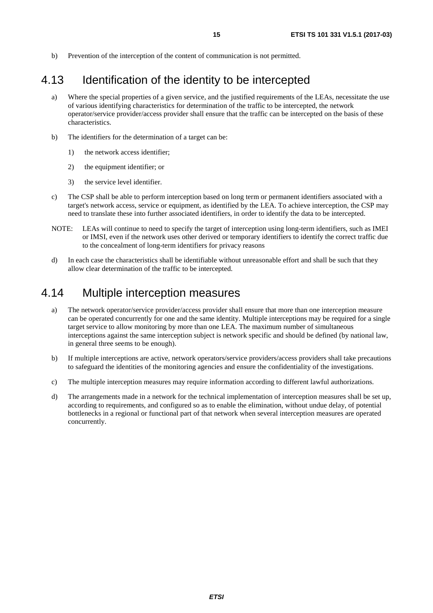<span id="page-14-0"></span>b) Prevention of the interception of the content of communication is not permitted.

#### 4.13 Identification of the identity to be intercepted

- a) Where the special properties of a given service, and the justified requirements of the LEAs, necessitate the use of various identifying characteristics for determination of the traffic to be intercepted, the network operator/service provider/access provider shall ensure that the traffic can be intercepted on the basis of these characteristics.
- b) The identifiers for the determination of a target can be:
	- 1) the network access identifier;
	- 2) the equipment identifier; or
	- 3) the service level identifier.
- c) The CSP shall be able to perform interception based on long term or permanent identifiers associated with a target's network access, service or equipment, as identified by the LEA. To achieve interception, the CSP may need to translate these into further associated identifiers, in order to identify the data to be intercepted.
- NOTE: LEAs will continue to need to specify the target of interception using long-term identifiers, such as IMEI or IMSI, even if the network uses other derived or temporary identifiers to identify the correct traffic due to the concealment of long-term identifiers for privacy reasons
- d) In each case the characteristics shall be identifiable without unreasonable effort and shall be such that they allow clear determination of the traffic to be intercepted.

#### 4.14 Multiple interception measures

- a) The network operator/service provider/access provider shall ensure that more than one interception measure can be operated concurrently for one and the same identity. Multiple interceptions may be required for a single target service to allow monitoring by more than one LEA. The maximum number of simultaneous interceptions against the same interception subject is network specific and should be defined (by national law, in general three seems to be enough).
- b) If multiple interceptions are active, network operators/service providers/access providers shall take precautions to safeguard the identities of the monitoring agencies and ensure the confidentiality of the investigations.
- c) The multiple interception measures may require information according to different lawful authorizations.
- d) The arrangements made in a network for the technical implementation of interception measures shall be set up, according to requirements, and configured so as to enable the elimination, without undue delay, of potential bottlenecks in a regional or functional part of that network when several interception measures are operated concurrently.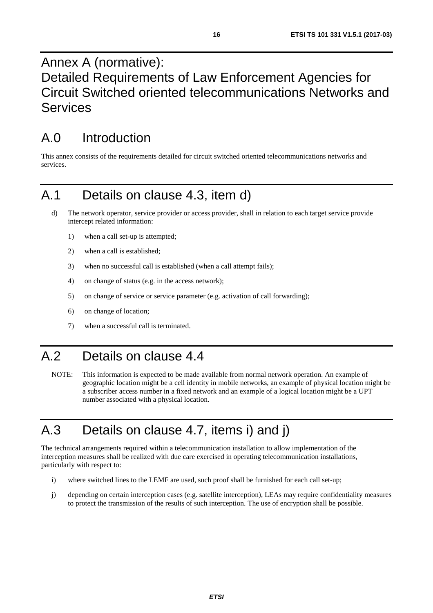### <span id="page-15-0"></span>Annex A (normative): Detailed Requirements of Law Enforcement Agencies for Circuit Switched oriented telecommunications Networks and Services

# A.0 Introduction

This annex consists of the requirements detailed for circuit switched oriented telecommunications networks and services.

### A.1 Details on clause 4.3, item d)

- d) The network operator, service provider or access provider, shall in relation to each target service provide intercept related information:
	- 1) when a call set-up is attempted;
	- 2) when a call is established;
	- 3) when no successful call is established (when a call attempt fails);
	- 4) on change of status (e.g. in the access network);
	- 5) on change of service or service parameter (e.g. activation of call forwarding);
	- 6) on change of location;
	- 7) when a successful call is terminated.

### A.2 Details on clause 4.4

NOTE: This information is expected to be made available from normal network operation. An example of geographic location might be a cell identity in mobile networks, an example of physical location might be a subscriber access number in a fixed network and an example of a logical location might be a UPT number associated with a physical location.

# A.3 Details on clause 4.7, items i) and j)

The technical arrangements required within a telecommunication installation to allow implementation of the interception measures shall be realized with due care exercised in operating telecommunication installations, particularly with respect to:

- i) where switched lines to the LEMF are used, such proof shall be furnished for each call set-up;
- j) depending on certain interception cases (e.g. satellite interception), LEAs may require confidentiality measures to protect the transmission of the results of such interception. The use of encryption shall be possible.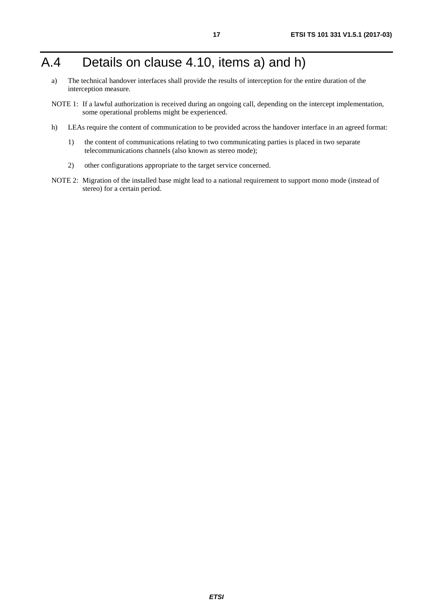### <span id="page-16-0"></span>A.4 Details on clause 4.10, items a) and h)

- a) The technical handover interfaces shall provide the results of interception for the entire duration of the interception measure.
- NOTE 1: If a lawful authorization is received during an ongoing call, depending on the intercept implementation, some operational problems might be experienced.
- h) LEAs require the content of communication to be provided across the handover interface in an agreed format:
	- 1) the content of communications relating to two communicating parties is placed in two separate telecommunications channels (also known as stereo mode);
	- 2) other configurations appropriate to the target service concerned.
- NOTE 2: Migration of the installed base might lead to a national requirement to support mono mode (instead of stereo) for a certain period.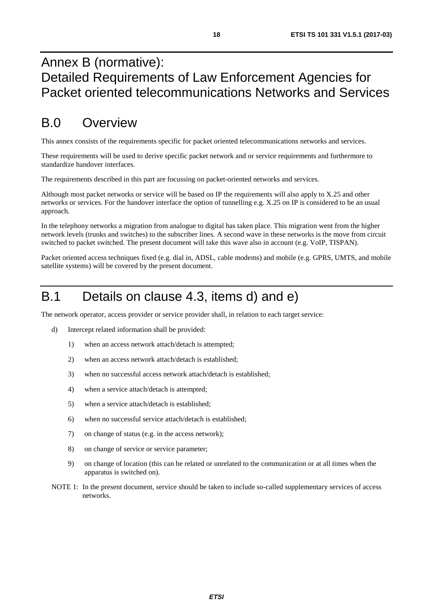### <span id="page-17-0"></span>Annex B (normative): Detailed Requirements of Law Enforcement Agencies for Packet oriented telecommunications Networks and Services

### B.0 Overview

This annex consists of the requirements specific for packet oriented telecommunications networks and services.

These requirements will be used to derive specific packet network and or service requirements and furthermore to standardize handover interfaces.

The requirements described in this part are focussing on packet-oriented networks and services.

Although most packet networks or service will be based on IP the requirements will also apply to X.25 and other networks or services. For the handover interface the option of tunnelling e.g. X.25 on IP is considered to be an usual approach.

In the telephony networks a migration from analogue to digital has taken place. This migration went from the higher network levels (trunks and switches) to the subscriber lines. A second wave in these networks is the move from circuit switched to packet switched. The present document will take this wave also in account (e.g. VoIP, TISPAN).

Packet oriented access techniques fixed (e.g. dial in, ADSL, cable modems) and mobile (e.g. GPRS, UMTS, and mobile satellite systems) will be covered by the present document.

### B.1 Details on clause 4.3, items d) and e)

The network operator, access provider or service provider shall, in relation to each target service:

- d) Intercept related information shall be provided:
	- 1) when an access network attach/detach is attempted;
	- 2) when an access network attach/detach is established;
	- 3) when no successful access network attach/detach is established;
	- 4) when a service attach/detach is attempted;
	- 5) when a service attach/detach is established;
	- 6) when no successful service attach/detach is established;
	- 7) on change of status (e.g. in the access network);
	- 8) on change of service or service parameter;
	- 9) on change of location (this can be related or unrelated to the communication or at all times when the apparatus is switched on).
- NOTE 1: In the present document, service should be taken to include so-called supplementary services of access networks.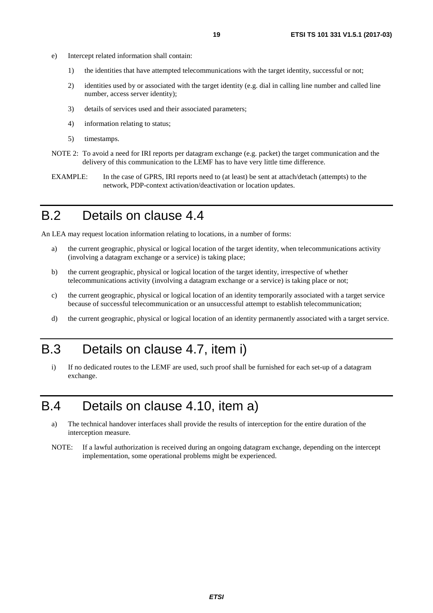- <span id="page-18-0"></span>e) Intercept related information shall contain:
	- 1) the identities that have attempted telecommunications with the target identity, successful or not;
	- 2) identities used by or associated with the target identity (e.g. dial in calling line number and called line number, access server identity);
	- 3) details of services used and their associated parameters;
	- 4) information relating to status;
	- 5) timestamps.
- NOTE 2: To avoid a need for IRI reports per datagram exchange (e.g. packet) the target communication and the delivery of this communication to the LEMF has to have very little time difference.
- EXAMPLE: In the case of GPRS, IRI reports need to (at least) be sent at attach/detach (attempts) to the network, PDP-context activation/deactivation or location updates.

#### B.2 Details on clause 4.4

An LEA may request location information relating to locations, in a number of forms:

- a) the current geographic, physical or logical location of the target identity, when telecommunications activity (involving a datagram exchange or a service) is taking place;
- b) the current geographic, physical or logical location of the target identity, irrespective of whether telecommunications activity (involving a datagram exchange or a service) is taking place or not;
- c) the current geographic, physical or logical location of an identity temporarily associated with a target service because of successful telecommunication or an unsuccessful attempt to establish telecommunication;
- d) the current geographic, physical or logical location of an identity permanently associated with a target service.

### B.3 Details on clause 4.7, item i)

i) If no dedicated routes to the LEMF are used, such proof shall be furnished for each set-up of a datagram exchange.

### B.4 Details on clause 4.10, item a)

- a) The technical handover interfaces shall provide the results of interception for the entire duration of the interception measure.
- NOTE: If a lawful authorization is received during an ongoing datagram exchange, depending on the intercept implementation, some operational problems might be experienced.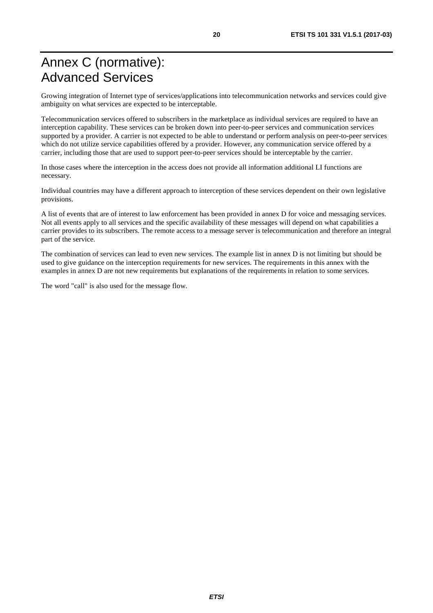### <span id="page-19-0"></span>Annex C (normative): Advanced Services

Growing integration of Internet type of services/applications into telecommunication networks and services could give ambiguity on what services are expected to be interceptable.

Telecommunication services offered to subscribers in the marketplace as individual services are required to have an interception capability. These services can be broken down into peer-to-peer services and communication services supported by a provider. A carrier is not expected to be able to understand or perform analysis on peer-to-peer services which do not utilize service capabilities offered by a provider. However, any communication service offered by a carrier, including those that are used to support peer-to-peer services should be interceptable by the carrier.

In those cases where the interception in the access does not provide all information additional LI functions are necessary.

Individual countries may have a different approach to interception of these services dependent on their own legislative provisions.

A list of events that are of interest to law enforcement has been provided in annex D for voice and messaging services. Not all events apply to all services and the specific availability of these messages will depend on what capabilities a carrier provides to its subscribers. The remote access to a message server is telecommunication and therefore an integral part of the service.

The combination of services can lead to even new services. The example list in annex D is not limiting but should be used to give guidance on the interception requirements for new services. The requirements in this annex with the examples in annex D are not new requirements but explanations of the requirements in relation to some services.

The word "call" is also used for the message flow.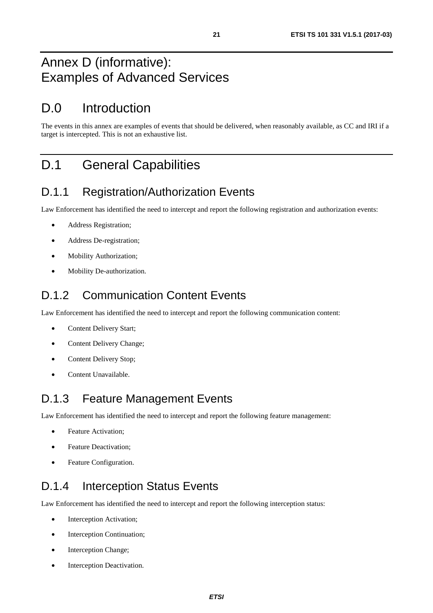### <span id="page-20-0"></span>Annex D (informative): Examples of Advanced Services

### D.0 Introduction

The events in this annex are examples of events that should be delivered, when reasonably available, as CC and IRI if a target is intercepted. This is not an exhaustive list.

### D.1 General Capabilities

#### D.1.1 Registration/Authorization Events

Law Enforcement has identified the need to intercept and report the following registration and authorization events:

- Address Registration;
- Address De-registration;
- Mobility Authorization;
- Mobility De-authorization.

#### D.1.2 Communication Content Events

Law Enforcement has identified the need to intercept and report the following communication content:

- Content Delivery Start;
- Content Delivery Change;
- Content Delivery Stop;
- Content Unavailable.

#### D.1.3 Feature Management Events

Law Enforcement has identified the need to intercept and report the following feature management:

- Feature Activation;
- Feature Deactivation;
- Feature Configuration.

#### D.1.4 Interception Status Events

Law Enforcement has identified the need to intercept and report the following interception status:

- Interception Activation;
- Interception Continuation;
- Interception Change;
- Interception Deactivation.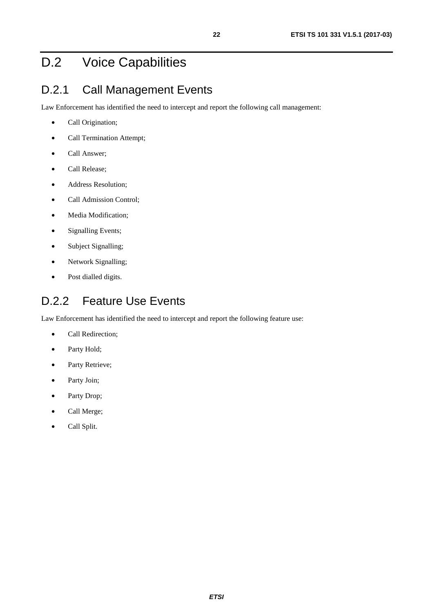## <span id="page-21-0"></span>D.2 Voice Capabilities

#### D.2.1 Call Management Events

Law Enforcement has identified the need to intercept and report the following call management:

- Call Origination;
- Call Termination Attempt;
- Call Answer;
- Call Release;
- Address Resolution;
- Call Admission Control;
- Media Modification;
- Signalling Events;
- Subject Signalling;
- Network Signalling;
- Post dialled digits.

#### D.2.2 Feature Use Events

Law Enforcement has identified the need to intercept and report the following feature use:

- Call Redirection;
- Party Hold;
- Party Retrieve;
- Party Join;
- Party Drop;
- Call Merge;
- Call Split.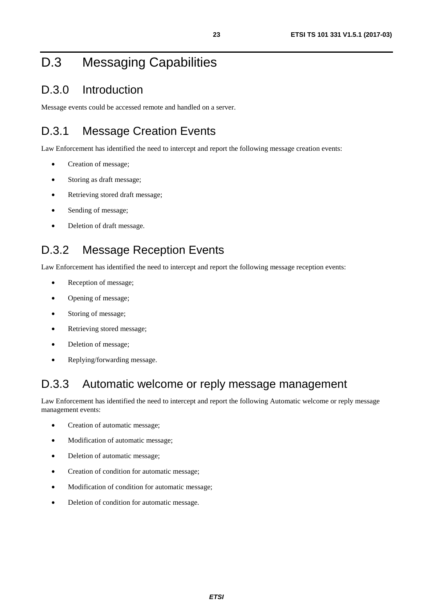## <span id="page-22-0"></span>D.3 Messaging Capabilities

#### D.3.0 Introduction

Message events could be accessed remote and handled on a server.

### D.3.1 Message Creation Events

Law Enforcement has identified the need to intercept and report the following message creation events:

- Creation of message;
- Storing as draft message;
- Retrieving stored draft message;
- Sending of message;
- Deletion of draft message.

#### D.3.2 Message Reception Events

Law Enforcement has identified the need to intercept and report the following message reception events:

- Reception of message;
- Opening of message;
- Storing of message;
- Retrieving stored message;
- Deletion of message;
- Replying/forwarding message.

#### D.3.3 Automatic welcome or reply message management

Law Enforcement has identified the need to intercept and report the following Automatic welcome or reply message management events:

- Creation of automatic message;
- Modification of automatic message;
- Deletion of automatic message;
- Creation of condition for automatic message;
- Modification of condition for automatic message;
- Deletion of condition for automatic message.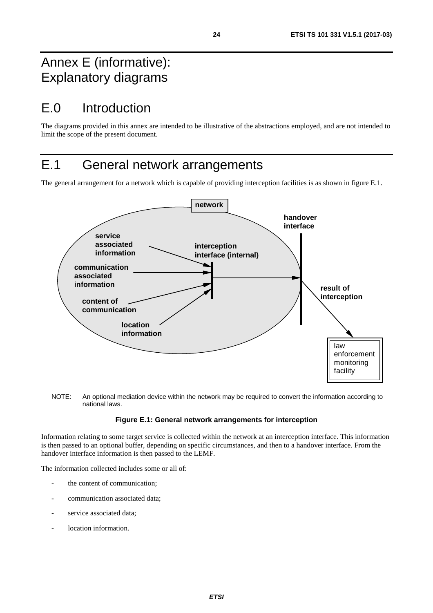### <span id="page-23-0"></span>Annex E (informative): Explanatory diagrams

# E.0 Introduction

The diagrams provided in this annex are intended to be illustrative of the abstractions employed, and are not intended to limit the scope of the present document.

### E.1 General network arrangements

The general arrangement for a network which is capable of providing interception facilities is as shown in figure E.1.



NOTE: An optional mediation device within the network may be required to convert the information according to national laws.

#### **Figure E.1: General network arrangements for interception**

Information relating to some target service is collected within the network at an interception interface. This information is then passed to an optional buffer, depending on specific circumstances, and then to a handover interface. From the handover interface information is then passed to the LEMF.

The information collected includes some or all of:

- the content of communication;
- communication associated data;
- service associated data:
- location information.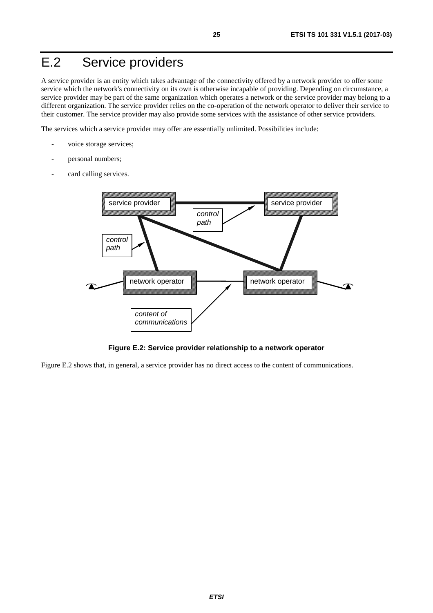# <span id="page-24-0"></span>E.2 Service providers

A service provider is an entity which takes advantage of the connectivity offered by a network provider to offer some service which the network's connectivity on its own is otherwise incapable of providing. Depending on circumstance, a service provider may be part of the same organization which operates a network or the service provider may belong to a different organization. The service provider relies on the co-operation of the network operator to deliver their service to their customer. The service provider may also provide some services with the assistance of other service providers.

The services which a service provider may offer are essentially unlimited. Possibilities include:

- voice storage services;
- personal numbers;
- card calling services.



**Figure E.2: Service provider relationship to a network operator** 

Figure E.2 shows that, in general, a service provider has no direct access to the content of communications.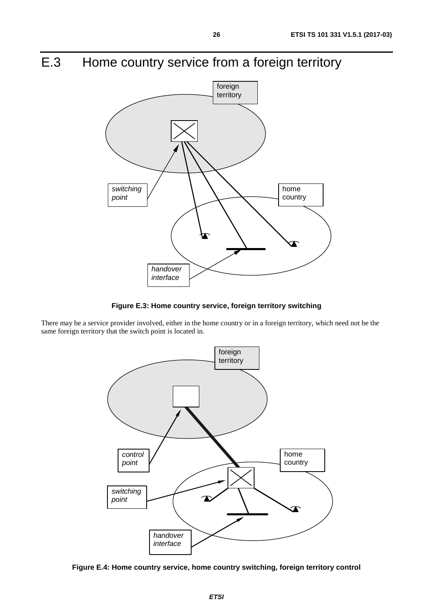# <span id="page-25-0"></span>E.3 Home country service from a foreign territory



**Figure E.3: Home country service, foreign territory switching** 

There may be a service provider involved, either in the home country or in a foreign territory, which need not be the same foreign territory that the switch point is located in.



**Figure E.4: Home country service, home country switching, foreign territory control**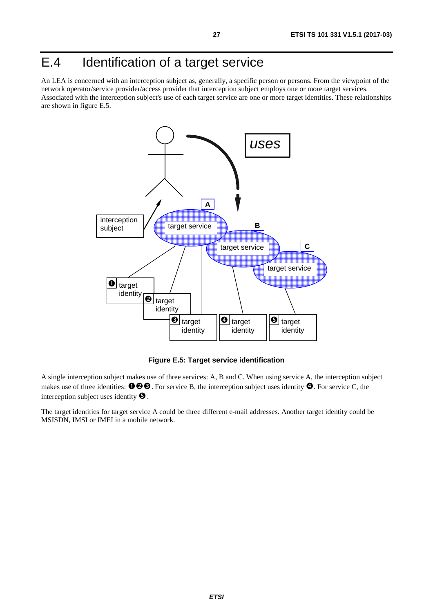### <span id="page-26-0"></span>E.4 Identification of a target service

An LEA is concerned with an interception subject as, generally, a specific person or persons. From the viewpoint of the network operator/service provider/access provider that interception subject employs one or more target services. Associated with the interception subject's use of each target service are one or more target identities. These relationships are shown in figure E.5.



**Figure E.5: Target service identification** 

A single interception subject makes use of three services: A, B and C. When using service A, the interception subject makes use of three identities:  $\mathbf{0} \otimes \mathbf{0}$ . For service B, the interception subject uses identity  $\mathbf{0}$ . For service C, the interception subject uses identity  $\bullet$ .

The target identities for target service A could be three different e-mail addresses. Another target identity could be MSISDN, IMSI or IMEI in a mobile network.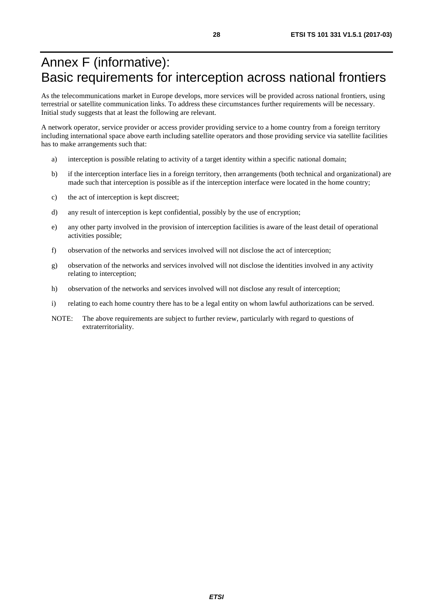### <span id="page-27-0"></span>Annex F (informative): Basic requirements for interception across national frontiers

As the telecommunications market in Europe develops, more services will be provided across national frontiers, using terrestrial or satellite communication links. To address these circumstances further requirements will be necessary. Initial study suggests that at least the following are relevant.

A network operator, service provider or access provider providing service to a home country from a foreign territory including international space above earth including satellite operators and those providing service via satellite facilities has to make arrangements such that:

- a) interception is possible relating to activity of a target identity within a specific national domain;
- b) if the interception interface lies in a foreign territory, then arrangements (both technical and organizational) are made such that interception is possible as if the interception interface were located in the home country;
- c) the act of interception is kept discreet;
- d) any result of interception is kept confidential, possibly by the use of encryption;
- e) any other party involved in the provision of interception facilities is aware of the least detail of operational activities possible;
- f) observation of the networks and services involved will not disclose the act of interception;
- g) observation of the networks and services involved will not disclose the identities involved in any activity relating to interception;
- h) observation of the networks and services involved will not disclose any result of interception;
- i) relating to each home country there has to be a legal entity on whom lawful authorizations can be served.
- NOTE: The above requirements are subject to further review, particularly with regard to questions of extraterritoriality.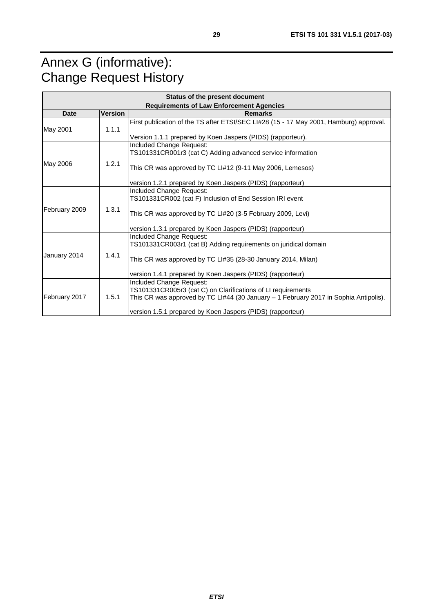# <span id="page-28-0"></span>Annex G (informative): Change Request History

| Status of the present document                  |                |                                                                                                                                                                                                                                                 |  |  |  |  |
|-------------------------------------------------|----------------|-------------------------------------------------------------------------------------------------------------------------------------------------------------------------------------------------------------------------------------------------|--|--|--|--|
| <b>Requirements of Law Enforcement Agencies</b> |                |                                                                                                                                                                                                                                                 |  |  |  |  |
| <b>Date</b>                                     | <b>Version</b> | <b>Remarks</b>                                                                                                                                                                                                                                  |  |  |  |  |
| May 2001                                        | 1.1.1          | First publication of the TS after ETSI/SEC LI#28 (15 - 17 May 2001, Hamburg) approval.                                                                                                                                                          |  |  |  |  |
|                                                 |                | Version 1.1.1 prepared by Koen Jaspers (PIDS) (rapporteur).                                                                                                                                                                                     |  |  |  |  |
|                                                 |                | Included Change Request:<br>TS101331CR001r3 (cat C) Adding advanced service information                                                                                                                                                         |  |  |  |  |
| May 2006                                        | 1.2.1          | This CR was approved by TC LI#12 (9-11 May 2006, Lemesos)                                                                                                                                                                                       |  |  |  |  |
|                                                 |                | version 1.2.1 prepared by Koen Jaspers (PIDS) (rapporteur)                                                                                                                                                                                      |  |  |  |  |
|                                                 |                | Included Change Request:<br>TS101331CR002 (cat F) Inclusion of End Session IRI event                                                                                                                                                            |  |  |  |  |
| February 2009                                   | 1.3.1          | This CR was approved by TC LI#20 (3-5 February 2009, Levi)                                                                                                                                                                                      |  |  |  |  |
|                                                 |                | version 1.3.1 prepared by Koen Jaspers (PIDS) (rapporteur)                                                                                                                                                                                      |  |  |  |  |
| January 2014                                    | 1.4.1          | Included Change Request:<br>TS101331CR003r1 (cat B) Adding requirements on juridical domain<br>This CR was approved by TC LI#35 (28-30 January 2014, Milan)                                                                                     |  |  |  |  |
|                                                 |                | version 1.4.1 prepared by Koen Jaspers (PIDS) (rapporteur)                                                                                                                                                                                      |  |  |  |  |
| February 2017                                   | 1.5.1          | Included Change Request:<br>TS101331CR005r3 (cat C) on Clarifications of LI requirements<br>This CR was approved by TC LI#44 (30 January $-1$ February 2017 in Sophia Antipolis).<br>version 1.5.1 prepared by Koen Jaspers (PIDS) (rapporteur) |  |  |  |  |